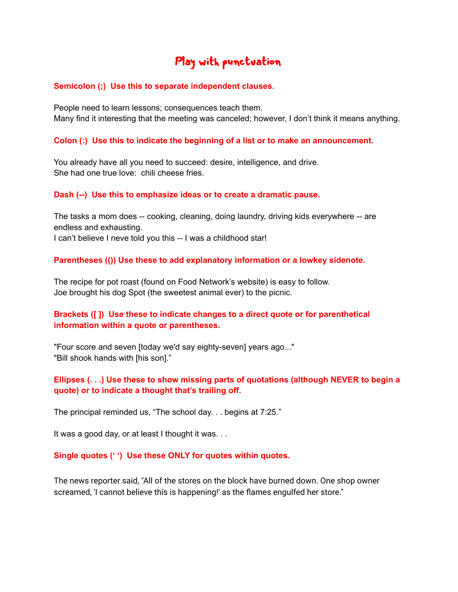# Play with punctuation

#### **Semicolon (;) Use this to separate independent clauses.**

People need to learn lessons; consequences teach them. Many find it interesting that the meeting was canceled; however, I don't think it means anything.

### **Colon (:) Use this to indicate the beginning of a list or to make an announcement.**

You already have all you need to succeed: desire, intelligence, and drive. She had one true love: chili cheese fries.

#### **Dash (--) Use this to emphasize ideas or to create a dramatic pause.**

The tasks a mom does -- cooking, cleaning, doing laundry, driving kids everywhere -- are endless and exhausting.

I can't believe I neve told you this -- I was a childhood star!

#### **Parentheses (()) Use these to add explanatory information or a lowkey sidenote.**

The recipe for pot roast (found on Food Network's website) is easy to follow. Joe brought his dog Spot (the sweetest animal ever) to the picnic.

## **Brackets ([ ]) Use these to indicate changes to a direct quote or for parenthetical information within a quote or parentheses.**

"Four score and seven [today we'd say eighty-seven] years ago..." "Bill shook hands with [his son]."

# **Ellipses (. . .) Use these to show missing parts of quotations (although NEVER to begin a quote) or to indicate a thought that's trailing off.**

The principal reminded us, "The school day. . . begins at 7:25."

It was a good day, or at least I thought it was. . .

#### **Single quotes (' ') Use these ONLY for quotes within quotes.**

The news reporter said, "All of the stores on the block have burned down. One shop owner screamed, 'I cannot believe this is happening!' as the flames engulfed her store."